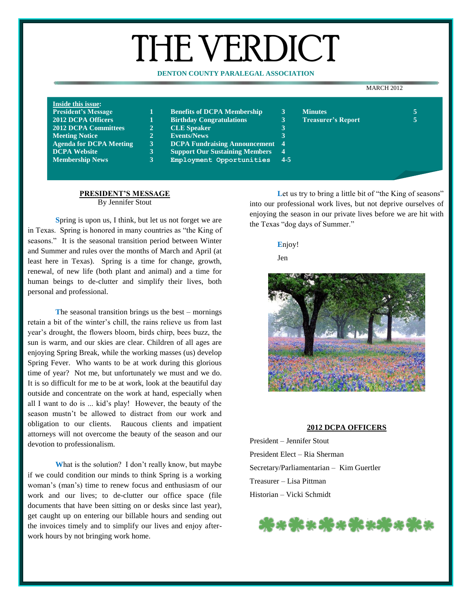# THE VERDICT

#### **DENTON COUNTY PARALEGAL ASSOCIATION**

#### MARCH 2012

| Inside this issue:             |              |                                        |                |                           |  |
|--------------------------------|--------------|----------------------------------------|----------------|---------------------------|--|
| <b>President's Message</b>     |              | <b>Benefits of DCPA Membership</b>     | 3              | <b>Minutes</b>            |  |
| <b>2012 DCPA Officers</b>      |              | <b>Birthday Congratulations</b>        | 3              | <b>Treasurer's Report</b> |  |
| <b>2012 DCPA Committees</b>    | $\mathbf{2}$ | <b>CLE</b> Speaker                     |                |                           |  |
| <b>Meeting Notice</b>          | $2^{\circ}$  | <b>Events/News</b>                     |                |                           |  |
| <b>Agenda for DCPA Meeting</b> | $\mathbf{3}$ | <b>DCPA Fundraising Announcement</b> 4 |                |                           |  |
| <b>DCPA Website</b>            | $\mathbf{3}$ | <b>Support Our Sustaining Members</b>  | $\overline{4}$ |                           |  |
| <b>Membership News</b>         | 13 .         | Employment Opportunities               | $-4-5$         |                           |  |
|                                |              |                                        |                |                           |  |

# **PRESIDENT'S MESSAGE**

By Jennifer Stout

**S**pring is upon us, I think, but let us not forget we are in Texas. Spring is honored in many countries as "the King of seasons." It is the seasonal transition period between Winter and Summer and rules over the months of March and April (at least here in Texas). Spring is a time for change, growth, renewal, of new life (both plant and animal) and a time for human beings to de-clutter and simplify their lives, both personal and professional.

**T**he seasonal transition brings us the best – mornings retain a bit of the winter's chill, the rains relieve us from last year's drought, the flowers bloom, birds chirp, bees buzz, the sun is warm, and our skies are clear. Children of all ages are enjoying Spring Break, while the working masses (us) develop Spring Fever. Who wants to be at work during this glorious time of year? Not me, but unfortunately we must and we do. It is so difficult for me to be at work, look at the beautiful day outside and concentrate on the work at hand, especially when all I want to do is ... kid's play! However, the beauty of the season mustn't be allowed to distract from our work and obligation to our clients. Raucous clients and impatient attorneys will not overcome the beauty of the season and our devotion to professionalism.

**W**hat is the solution? I don't really know, but maybe if we could condition our minds to think Spring is a working woman's (man's) time to renew focus and enthusiasm of our work and our lives; to de-clutter our office space (file documents that have been sitting on or desks since last year), get caught up on entering our billable hours and sending out the invoices timely and to simplify our lives and enjoy afterwork hours by not bringing work home.

Let us try to bring a little bit of "the King of seasons" into our professional work lives, but not deprive ourselves of enjoying the season in our private lives before we are hit with the Texas "dog days of Summer."

## **E**njoy!

Jen



#### **2012 DCPA OFFICERS**

President – Jennifer Stout President Elect – Ria Sherman Secretary/Parliamentarian – Kim Guertler Treasurer – Lisa Pittman Historian – Vicki Schmidt

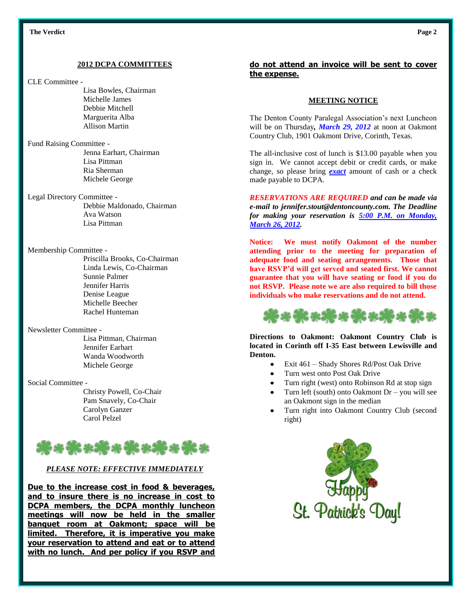#### **2012 DCPA COMMITTEES**

CLE Committee -

Lisa Bowles, Chairman Michelle James Debbie Mitchell Marguerita Alba Allison Martin

Fund Raising Committee - Jenna Earhart, Chairman Lisa Pittman Ria Sherman Michele George

Legal Directory Committee - Debbie Maldonado, Chairman Ava Watson Lisa Pittman

Membership Committee -

Priscilla Brooks, Co-Chairman Linda Lewis, Co-Chairman Sunnie Palmer Jennifer Harris Denise League Michelle Beecher Rachel Hunteman

Newsletter Committee -

Lisa Pittman, Chairman Jennifer Earhart Wanda Woodworth Michele George

Social Committee -

Christy Powell, Co-Chair Pam Snavely, Co-Chair Carolyn Ganzer Carol Pelzel



## *PLEASE NOTE: EFFECTIVE IMMEDIATELY*

**Due to the increase cost in food & beverages, and to insure there is no increase in cost to DCPA members, the DCPA monthly luncheon meetings will now be held in the smaller banquet room at Oakmont; space will be limited. Therefore, it is imperative you make your reservation to attend and eat or to attend with no lunch. And per policy if you RSVP and** 

## **do not attend an invoice will be sent to cover the expense.**

## **MEETING NOTICE**

The Denton County Paralegal Association's next Luncheon will be on Thursday*, March 29, 2012* at noon at Oakmont Country Club, 1901 Oakmont Drive, Corinth, Texas.

The all-inclusive cost of lunch is \$13.00 payable when you sign in. We cannot accept debit or credit cards, or make change, so please bring *exact* amount of cash or a check made payable to DCPA.

*RESERVATIONS ARE REQUIRED and can be made via e-mail to jennifer.stout@dentoncounty.com. The Deadline for making your reservation is 5:00 P.M. on Monday, March 26, 2012.*

**Notice: We must notify Oakmont of the number attending prior to the meeting for preparation of adequate food and seating arrangements. Those that have RSVP'd will get served and seated first. We cannot guarantee that you will have seating or food if you do not RSVP. Please note we are also required to bill those individuals who make reservations and do not attend.**



**Directions to Oakmont: Oakmont Country Club is located in Corinth off I-35 East between Lewisville and Denton.**

- Exit 461 Shady Shores Rd/Post Oak Drive  $\bullet$
- Turn west onto Post Oak Drive
- Turn right (west) onto Robinson Rd at stop sign
- Turn left (south) onto Oakmont Dr you will see an Oakmont sign in the median
- Turn right into Oakmont Country Club (second right)

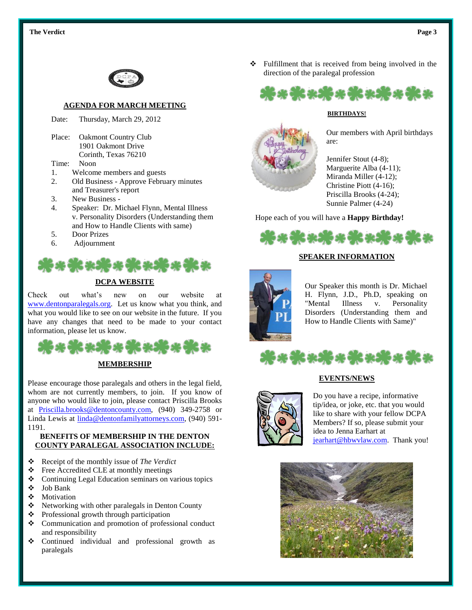

### **AGENDA FOR MARCH MEETING**

Date: Thursday, March 29, 2012

Place: Oakmont Country Club 1901 Oakmont Drive Corinth, Texas 76210

- Time: Noon
- 1. Welcome members and guests
- 2. Old Business Approve February minutes and Treasurer's report
- 3. New Business -
- 4. Speaker: Dr. Michael Flynn, Mental Illness v. Personality Disorders (Understanding them and How to Handle Clients with same)
- 5. Door Prizes
- 6. Adjournment



## **DCPA WEBSITE**

Check out what's new on our website at [www.dentonparalegals.org.](http://www.dentonparalegals.org/) Let us know what you think, and what you would like to see on our website in the future. If you have any changes that need to be made to your contact information, please let us know.



Please encourage those paralegals and others in the legal field, whom are not currently members, to join. If you know of anyone who would like to join, please contact Priscilla Brooks at [Priscilla.brooks@dentoncounty.com,](mailto:Priscilla.brooks@dentoncounty.com) (940) 349-2758 or Linda Lewis at [linda@dentonfamilyattorneys.com,](mailto:linda@dentonfamilyattorneys.com) (940) 591- 1191.

## **BENEFITS OF MEMBERSHIP IN THE DENTON COUNTY PARALEGAL ASSOCIATION INCLUDE:**

- Receipt of the monthly issue of *The Verdict*
- ❖ Free Accredited CLE at monthly meetings
- Continuing Legal Education seminars on various topics
- Job Bank
- ❖ Motivation
- $\triangle$  Networking with other paralegals in Denton County
- ❖ Professional growth through participation
- Communication and promotion of professional conduct and responsibility
- Continued individual and professional growth as paralegals

 Fulfillment that is received from being involved in the direction of the paralegal profession



#### **BIRTHDAYS!**



Our members with April birthdays are:

Jennifer Stout (4-8); Marguerite Alba (4-11); Miranda Miller (4-12); Christine Piott (4-16); Priscilla Brooks (4-24); Sunnie Palmer (4-24)

Hope each of you will have a **Happy Birthday!**



## **SPEAKER INFORMATION**



Our Speaker this month is Dr. Michael H. Flynn, J.D., Ph.D, speaking on "Mental Illness v. Personality Disorders (Understanding them and How to Handle Clients with Same)"



## **EVENTS/NEWS**



Do you have a recipe, informative tip/idea, or joke, etc. that you would like to share with your fellow DCPA Members? If so, please submit your idea to Jenna Earhart at [jearhart@hbwvlaw.com.](mailto:jearhart@hbwvlaw.com) Thank you!

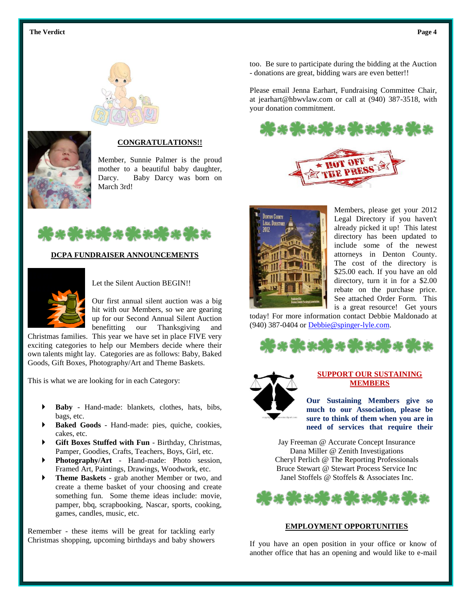



### **CONGRATULATIONS!!**

Member, Sunnie Palmer is the proud mother to a beautiful baby daughter, Darcy. Baby Darcy was born on March 3rd!



#### **DCPA FUNDRAISER ANNOUNCEMENTS**



Let the Silent Auction BEGIN!!

Our first annual silent auction was a big hit with our Members, so we are gearing up for our Second Annual Silent Auction benefitting our Thanksgiving and

Christmas families. This year we have set in place FIVE very exciting categories to help our Members decide where their own talents might lay. Categories are as follows: Baby, Baked Goods, Gift Boxes, Photography/Art and Theme Baskets.

This is what we are looking for in each Category:

- **Baby** Hand-made: blankets, clothes, hats, bibs, bags, etc.
- **Baked Goods** Hand-made: pies, quiche, cookies, cakes, etc.
- **Gift Boxes Stuffed with Fun** Birthday, Christmas, Pamper, Goodies, Crafts, Teachers, Boys, Girl, etc.
- **Photography/Art** Hand-made: Photo session, Framed Art, Paintings, Drawings, Woodwork, etc.
- **Theme Baskets** grab another Member or two, and create a theme basket of your choosing and create something fun. Some theme ideas include: movie, pamper, bbq, scrapbooking, Nascar, sports, cooking, games, candles, music, etc.

Remember - these items will be great for tackling early Christmas shopping, upcoming birthdays and baby showers too. Be sure to participate during the bidding at the Auction - donations are great, bidding wars are even better!!

Please email Jenna Earhart, Fundraising Committee Chair, at jearhart@hbwvlaw.com or call at (940) 387-3518, with your donation commitment.





Members, please get your 2012 Legal Directory if you haven't already picked it up! This latest directory has been updated to include some of the newest attorneys in Denton County. The cost of the directory is \$25.00 each. If you have an old directory, turn it in for a \$2.00 rebate on the purchase price. See attached Order Form. This is a great resource! Get yours

today! For more information contact Debbie Maldonado at (940) 387-0404 or [Debbie@spinger-lyle.com.](mailto:Debbie@spinger-lyle.com)





#### **SUPPORT OUR SUSTAINING MEMBERS**

**Our Sustaining Members give so much to our Association, please be sure to think of them when you are in need of services that require their** 

Jay Freeman @ Accurate Concept Insurance **specialty!**Dana Miller @ Zenith Investigations Cheryl Perlich @ The Reporting Professionals Bruce Stewart @ Stewart Process Service Inc Janel Stoffels @ Stoffels & Associates Inc.



#### **EMPLOYMENT OPPORTUNITIES**

If you have an open position in your office or know of another office that has an opening and would like to e-mail